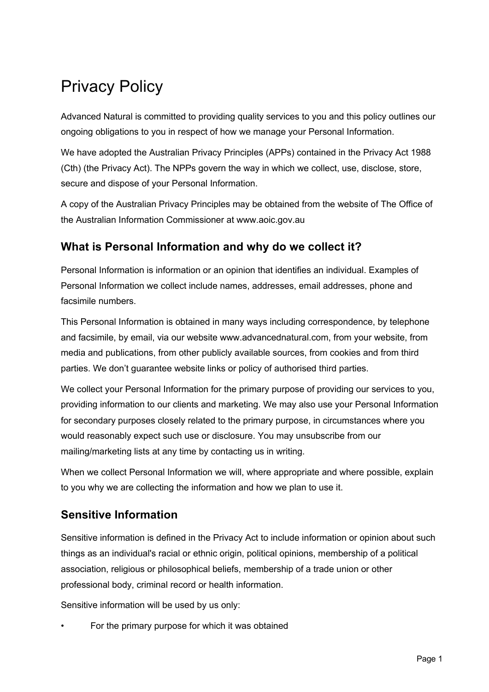# Privacy Policy

Advanced Natural is committed to providing quality services to you and this policy outlines our ongoing obligations to you in respect of how we manage your Personal Information.

We have adopted the Australian Privacy Principles (APPs) contained in the Privacy Act 1988 (Cth) (the Privacy Act). The NPPs govern the way in which we collect, use, disclose, store, secure and dispose of your Personal Information.

A copy of the Australian Privacy Principles may be obtained from the website of The Office of the Australian Information Commissioner at www.aoic.gov.au

#### **What is Personal Information and why do we collect it?**

Personal Information is information or an opinion that identifies an individual. Examples of Personal Information we collect include names, addresses, email addresses, phone and facsimile numbers.

This Personal Information is obtained in many ways including correspondence, by telephone and facsimile, by email, via our website www.advancednatural.com, from your website, from media and publications, from other publicly available sources, from cookies and from third parties. We don't guarantee website links or policy of authorised third parties.

We collect your Personal Information for the primary purpose of providing our services to you, providing information to our clients and marketing. We may also use your Personal Information for secondary purposes closely related to the primary purpose, in circumstances where you would reasonably expect such use or disclosure. You may unsubscribe from our mailing/marketing lists at any time by contacting us in writing.

When we collect Personal Information we will, where appropriate and where possible, explain to you why we are collecting the information and how we plan to use it.

# **Sensitive Information**

Sensitive information is defined in the Privacy Act to include information or opinion about such things as an individual's racial or ethnic origin, political opinions, membership of a political association, religious or philosophical beliefs, membership of a trade union or other professional body, criminal record or health information.

Sensitive information will be used by us only:

• For the primary purpose for which it was obtained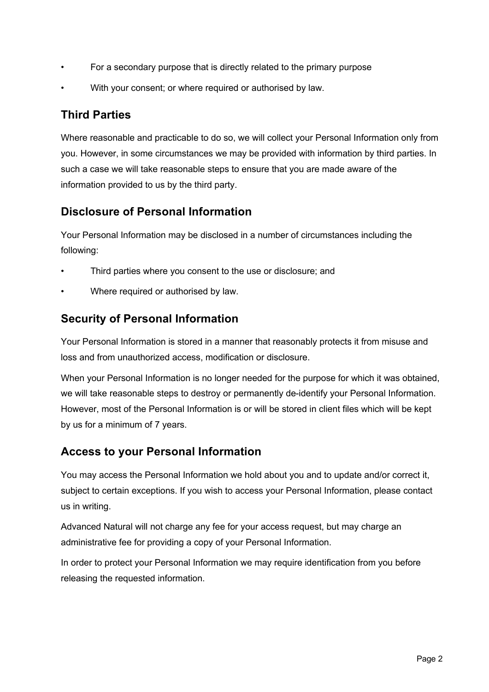- For a secondary purpose that is directly related to the primary purpose
- With your consent; or where required or authorised by law.

#### **Third Parties**

Where reasonable and practicable to do so, we will collect your Personal Information only from you. However, in some circumstances we may be provided with information by third parties. In such a case we will take reasonable steps to ensure that you are made aware of the information provided to us by the third party.

## **Disclosure of Personal Information**

Your Personal Information may be disclosed in a number of circumstances including the following:

- Third parties where you consent to the use or disclosure; and
- Where required or authorised by law.

#### **Security of Personal Information**

Your Personal Information is stored in a manner that reasonably protects it from misuse and loss and from unauthorized access, modification or disclosure.

When your Personal Information is no longer needed for the purpose for which it was obtained, we will take reasonable steps to destroy or permanently de-identify your Personal Information. However, most of the Personal Information is or will be stored in client files which will be kept by us for a minimum of 7 years.

#### **Access to your Personal Information**

You may access the Personal Information we hold about you and to update and/or correct it, subject to certain exceptions. If you wish to access your Personal Information, please contact us in writing.

Advanced Natural will not charge any fee for your access request, but may charge an administrative fee for providing a copy of your Personal Information.

In order to protect your Personal Information we may require identification from you before releasing the requested information.